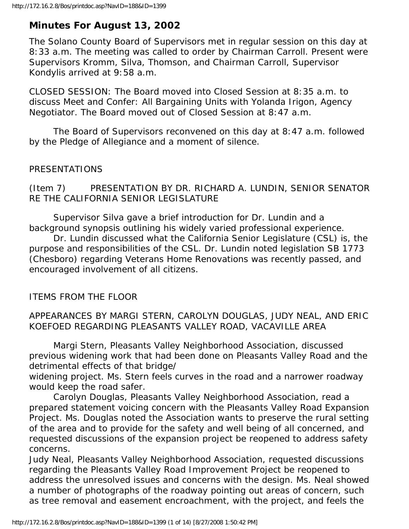# **Minutes For August 13, 2002**

The Solano County Board of Supervisors met in regular session on this day at 8:33 a.m. The meeting was called to order by Chairman Carroll. Present were Supervisors Kromm, Silva, Thomson, and Chairman Carroll, Supervisor Kondylis arrived at 9:58 a.m.

CLOSED SESSION: The Board moved into Closed Session at 8:35 a.m. to discuss Meet and Confer: All Bargaining Units with Yolanda Irigon, Agency Negotiator. The Board moved out of Closed Session at 8:47 a.m.

 The Board of Supervisors reconvened on this day at 8:47 a.m. followed by the Pledge of Allegiance and a moment of silence.

## PRESENTATIONS

(Item 7) PRESENTATION BY DR. RICHARD A. LUNDIN, SENIOR SENATOR RE THE CALIFORNIA SENIOR LEGISLATURE

 Supervisor Silva gave a brief introduction for Dr. Lundin and a background synopsis outlining his widely varied professional experience.

 Dr. Lundin discussed what the California Senior Legislature (CSL) is, the purpose and responsibilities of the CSL. Dr. Lundin noted legislation SB 1773 (Chesboro) regarding Veterans Home Renovations was recently passed, and encouraged involvement of all citizens.

## ITEMS FROM THE FLOOR

### APPEARANCES BY MARGI STERN, CAROLYN DOUGLAS, JUDY NEAL, AND ERIC KOEFOED REGARDING PLEASANTS VALLEY ROAD, VACAVILLE AREA

 Margi Stern, Pleasants Valley Neighborhood Association, discussed previous widening work that had been done on Pleasants Valley Road and the detrimental effects of that bridge/

widening project. Ms. Stern feels curves in the road and a narrower roadway would keep the road safer.

 Carolyn Douglas, Pleasants Valley Neighborhood Association, read a prepared statement voicing concern with the Pleasants Valley Road Expansion Project. Ms. Douglas noted the Association wants to preserve the rural setting of the area and to provide for the safety and well being of all concerned, and requested discussions of the expansion project be reopened to address safety concerns.

Judy Neal, Pleasants Valley Neighborhood Association, requested discussions regarding the Pleasants Valley Road Improvement Project be reopened to address the unresolved issues and concerns with the design. Ms. Neal showed a number of photographs of the roadway pointing out areas of concern, such as tree removal and easement encroachment, with the project, and feels the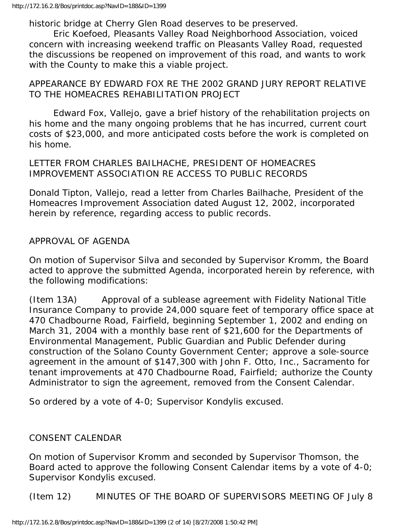historic bridge at Cherry Glen Road deserves to be preserved.

 Eric Koefoed, Pleasants Valley Road Neighborhood Association, voiced concern with increasing weekend traffic on Pleasants Valley Road, requested the discussions be reopened on improvement of this road, and wants to work with the County to make this a viable project.

#### APPEARANCE BY EDWARD FOX RE THE 2002 GRAND JURY REPORT RELATIVE TO THE HOMEACRES REHABILITATION PROJECT

 Edward Fox, Vallejo, gave a brief history of the rehabilitation projects on his home and the many ongoing problems that he has incurred, current court costs of \$23,000, and more anticipated costs before the work is completed on his home.

#### LETTER FROM CHARLES BAILHACHE, PRESIDENT OF HOMEACRES IMPROVEMENT ASSOCIATION RE ACCESS TO PUBLIC RECORDS

Donald Tipton, Vallejo, read a letter from Charles Bailhache, President of the Homeacres Improvement Association dated August 12, 2002, incorporated herein by reference, regarding access to public records.

#### APPROVAL OF AGENDA

On motion of Supervisor Silva and seconded by Supervisor Kromm, the Board acted to approve the submitted Agenda, incorporated herein by reference, with the following modifications:

(Item 13A) Approval of a sublease agreement with Fidelity National Title Insurance Company to provide 24,000 square feet of temporary office space at 470 Chadbourne Road, Fairfield, beginning September 1, 2002 and ending on March 31, 2004 with a monthly base rent of \$21,600 for the Departments of Environmental Management, Public Guardian and Public Defender during construction of the Solano County Government Center; approve a sole-source agreement in the amount of \$147,300 with John F. Otto, Inc., Sacramento for tenant improvements at 470 Chadbourne Road, Fairfield; authorize the County Administrator to sign the agreement, removed from the Consent Calendar.

So ordered by a vote of 4-0; Supervisor Kondylis excused.

#### CONSENT CALENDAR

On motion of Supervisor Kromm and seconded by Supervisor Thomson, the Board acted to approve the following Consent Calendar items by a vote of 4-0; Supervisor Kondylis excused.

(Item 12) MINUTES OF THE BOARD OF SUPERVISORS MEETING OF July 8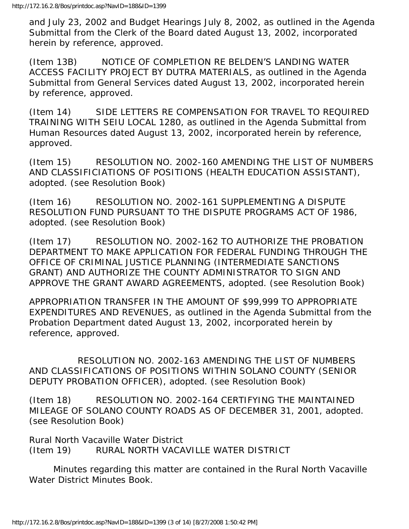and July 23, 2002 and Budget Hearings July 8, 2002, as outlined in the Agenda Submittal from the Clerk of the Board dated August 13, 2002, incorporated herein by reference, approved.

(Item 13B) NOTICE OF COMPLETION RE BELDEN'S LANDING WATER ACCESS FACILITY PROJECT BY DUTRA MATERIALS, as outlined in the Agenda Submittal from General Services dated August 13, 2002, incorporated herein by reference, approved.

(Item 14) SIDE LETTERS RE COMPENSATION FOR TRAVEL TO REQUIRED TRAINING WITH SEIU LOCAL 1280, as outlined in the Agenda Submittal from Human Resources dated August 13, 2002, incorporated herein by reference, approved.

(Item 15) RESOLUTION NO. 2002-160 AMENDING THE LIST OF NUMBERS AND CLASSIFICIATIONS OF POSITIONS (HEALTH EDUCATION ASSISTANT), adopted. (see Resolution Book)

(Item 16) RESOLUTION NO. 2002-161 SUPPLEMENTING A DISPUTE RESOLUTION FUND PURSUANT TO THE DISPUTE PROGRAMS ACT OF 1986, adopted. (see Resolution Book)

(Item 17) RESOLUTION NO. 2002-162 TO AUTHORIZE THE PROBATION DEPARTMENT TO MAKE APPLICATION FOR FEDERAL FUNDING THROUGH THE OFFICE OF CRIMINAL JUSTICE PLANNING (INTERMEDIATE SANCTIONS GRANT) AND AUTHORIZE THE COUNTY ADMINISTRATOR TO SIGN AND APPROVE THE GRANT AWARD AGREEMENTS, adopted. (see Resolution Book)

APPROPRIATION TRANSFER IN THE AMOUNT OF \$99,999 TO APPROPRIATE EXPENDITURES AND REVENUES, as outlined in the Agenda Submittal from the Probation Department dated August 13, 2002, incorporated herein by reference, approved.

 RESOLUTION NO. 2002-163 AMENDING THE LIST OF NUMBERS AND CLASSIFICATIONS OF POSITIONS WITHIN SOLANO COUNTY (SENIOR DEPUTY PROBATION OFFICER), adopted. (see Resolution Book)

(Item 18) RESOLUTION NO. 2002-164 CERTIFYING THE MAINTAINED MILEAGE OF SOLANO COUNTY ROADS AS OF DECEMBER 31, 2001, adopted. (see Resolution Book)

Rural North Vacaville Water District (Item 19) RURAL NORTH VACAVILLE WATER DISTRICT

 Minutes regarding this matter are contained in the Rural North Vacaville Water District Minutes Book.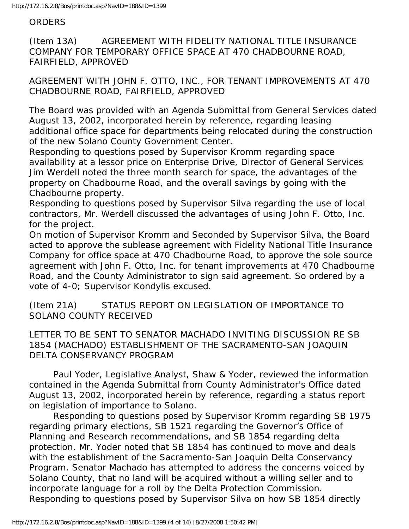#### **ORDERS**

(Item 13A) AGREEMENT WITH FIDELITY NATIONAL TITLE INSURANCE COMPANY FOR TEMPORARY OFFICE SPACE AT 470 CHADBOURNE ROAD, FAIRFIELD, APPROVED

AGREEMENT WITH JOHN F. OTTO, INC., FOR TENANT IMPROVEMENTS AT 470 CHADBOURNE ROAD, FAIRFIELD, APPROVED

The Board was provided with an Agenda Submittal from General Services dated August 13, 2002, incorporated herein by reference, regarding leasing additional office space for departments being relocated during the construction of the new Solano County Government Center.

Responding to questions posed by Supervisor Kromm regarding space availability at a lessor price on Enterprise Drive, Director of General Services Jim Werdell noted the three month search for space, the advantages of the property on Chadbourne Road, and the overall savings by going with the Chadbourne property.

Responding to questions posed by Supervisor Silva regarding the use of local contractors, Mr. Werdell discussed the advantages of using John F. Otto, Inc. for the project.

On motion of Supervisor Kromm and Seconded by Supervisor Silva, the Board acted to approve the sublease agreement with Fidelity National Title Insurance Company for office space at 470 Chadbourne Road, to approve the sole source agreement with John F. Otto, Inc. for tenant improvements at 470 Chadbourne Road, and the County Administrator to sign said agreement. So ordered by a vote of 4-0; Supervisor Kondylis excused.

(Item 21A) STATUS REPORT ON LEGISLATION OF IMPORTANCE TO SOLANO COUNTY RECEIVED

LETTER TO BE SENT TO SENATOR MACHADO INVITING DISCUSSION RE SB 1854 (MACHADO) ESTABLISHMENT OF THE SACRAMENTO-SAN JOAQUIN DELTA CONSERVANCY PROGRAM

 Paul Yoder, Legislative Analyst, Shaw & Yoder, reviewed the information contained in the Agenda Submittal from County Administrator's Office dated August 13, 2002, incorporated herein by reference, regarding a status report on legislation of importance to Solano.

 Responding to questions posed by Supervisor Kromm regarding SB 1975 regarding primary elections, SB 1521 regarding the Governor's Office of Planning and Research recommendations, and SB 1854 regarding delta protection. Mr. Yoder noted that SB 1854 has continued to move and deals with the establishment of the Sacramento-San Joaquin Delta Conservancy Program. Senator Machado has attempted to address the concerns voiced by Solano County, that no land will be acquired without a willing seller and to incorporate language for a roll by the Delta Protection Commission. Responding to questions posed by Supervisor Silva on how SB 1854 directly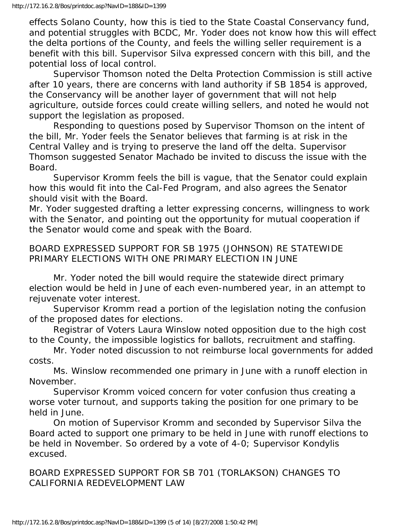effects Solano County, how this is tied to the State Coastal Conservancy fund, and potential struggles with BCDC, Mr. Yoder does not know how this will effect the delta portions of the County, and feels the willing seller requirement is a benefit with this bill. Supervisor Silva expressed concern with this bill, and the potential loss of local control.

 Supervisor Thomson noted the Delta Protection Commission is still active after 10 years, there are concerns with land authority if SB 1854 is approved, the Conservancy will be another layer of government that will not help agriculture, outside forces could create willing sellers, and noted he would not support the legislation as proposed.

 Responding to questions posed by Supervisor Thomson on the intent of the bill, Mr. Yoder feels the Senator believes that farming is at risk in the Central Valley and is trying to preserve the land off the delta. Supervisor Thomson suggested Senator Machado be invited to discuss the issue with the Board.

 Supervisor Kromm feels the bill is vague, that the Senator could explain how this would fit into the Cal-Fed Program, and also agrees the Senator should visit with the Board.

Mr. Yoder suggested drafting a letter expressing concerns, willingness to work with the Senator, and pointing out the opportunity for mutual cooperation if the Senator would come and speak with the Board.

BOARD EXPRESSED SUPPORT FOR SB 1975 (JOHNSON) RE STATEWIDE PRIMARY ELECTIONS WITH ONE PRIMARY ELECTION IN JUNE

 Mr. Yoder noted the bill would require the statewide direct primary election would be held in June of each even-numbered year, in an attempt to rejuvenate voter interest.

 Supervisor Kromm read a portion of the legislation noting the confusion of the proposed dates for elections.

 Registrar of Voters Laura Winslow noted opposition due to the high cost to the County, the impossible logistics for ballots, recruitment and staffing.

 Mr. Yoder noted discussion to not reimburse local governments for added costs.

 Ms. Winslow recommended one primary in June with a runoff election in November.

 Supervisor Kromm voiced concern for voter confusion thus creating a worse voter turnout, and supports taking the position for one primary to be held in June.

 On motion of Supervisor Kromm and seconded by Supervisor Silva the Board acted to support one primary to be held in June with runoff elections to be held in November. So ordered by a vote of 4-0; Supervisor Kondylis excused.

BOARD EXPRESSED SUPPORT FOR SB 701 (TORLAKSON) CHANGES TO CALIFORNIA REDEVELOPMENT LAW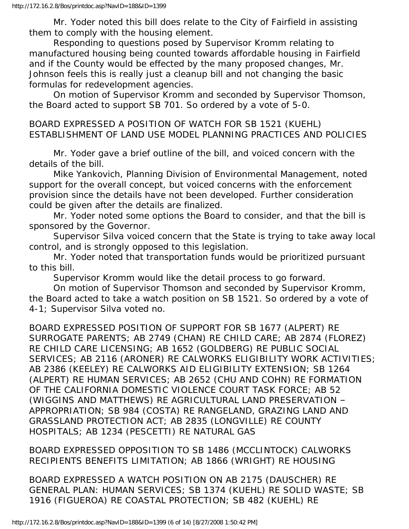Mr. Yoder noted this bill does relate to the City of Fairfield in assisting them to comply with the housing element.

 Responding to questions posed by Supervisor Kromm relating to manufactured housing being counted towards affordable housing in Fairfield and if the County would be effected by the many proposed changes, Mr. Johnson feels this is really just a cleanup bill and not changing the basic formulas for redevelopment agencies.

 On motion of Supervisor Kromm and seconded by Supervisor Thomson, the Board acted to support SB 701. So ordered by a vote of 5-0.

BOARD EXPRESSED A POSITION OF WATCH FOR SB 1521 (KUEHL) ESTABLISHMENT OF LAND USE MODEL PLANNING PRACTICES AND POLICIES

 Mr. Yoder gave a brief outline of the bill, and voiced concern with the details of the bill.

 Mike Yankovich, Planning Division of Environmental Management, noted support for the overall concept, but voiced concerns with the enforcement provision since the details have not been developed. Further consideration could be given after the details are finalized.

 Mr. Yoder noted some options the Board to consider, and that the bill is sponsored by the Governor.

 Supervisor Silva voiced concern that the State is trying to take away local control, and is strongly opposed to this legislation.

 Mr. Yoder noted that transportation funds would be prioritized pursuant to this bill.

Supervisor Kromm would like the detail process to go forward.

 On motion of Supervisor Thomson and seconded by Supervisor Kromm, the Board acted to take a watch position on SB 1521. So ordered by a vote of 4-1; Supervisor Silva voted no.

BOARD EXPRESSED POSITION OF SUPPORT FOR SB 1677 (ALPERT) RE SURROGATE PARENTS; AB 2749 (CHAN) RE CHILD CARE; AB 2874 (FLOREZ) RE CHILD CARE LICENSING; AB 1652 (GOLDBERG) RE PUBLIC SOCIAL SERVICES; AB 2116 (ARONER) RE CALWORKS ELIGIBILITY WORK ACTIVITIES; AB 2386 (KEELEY) RE CALWORKS AID ELIGIBILITY EXTENSION; SB 1264 (ALPERT) RE HUMAN SERVICES; AB 2652 (CHU AND COHN) RE FORMATION OF THE CALIFORNIA DOMESTIC VIOLENCE COURT TASK FORCE; AB 52 (WIGGINS AND MATTHEWS) RE AGRICULTURAL LAND PRESERVATION – APPROPRIATION; SB 984 (COSTA) RE RANGELAND, GRAZING LAND AND GRASSLAND PROTECTION ACT; AB 2835 (LONGVILLE) RE COUNTY HOSPITALS; AB 1234 (PESCETTI) RE NATURAL GAS

BOARD EXPRESSED OPPOSITION TO SB 1486 (MCCLINTOCK) CALWORKS RECIPIENTS BENEFITS LIMITATION; AB 1866 (WRIGHT) RE HOUSING

BOARD EXPRESSED A WATCH POSITION ON AB 2175 (DAUSCHER) RE GENERAL PLAN: HUMAN SERVICES; SB 1374 (KUEHL) RE SOLID WASTE; SB 1916 (FIGUEROA) RE COASTAL PROTECTION; SB 482 (KUEHL) RE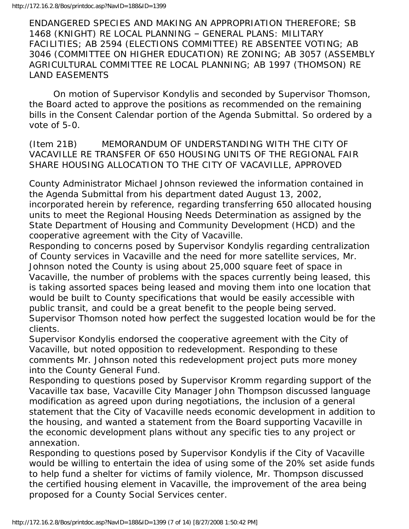ENDANGERED SPECIES AND MAKING AN APPROPRIATION THEREFORE; SB 1468 (KNIGHT) RE LOCAL PLANNING – GENERAL PLANS: MILITARY FACILITIES; AB 2594 (ELECTIONS COMMITTEE) RE ABSENTEE VOTING; AB 3046 (COMMITTEE ON HIGHER EDUCATION) RE ZONING; AB 3057 (ASSEMBLY AGRICULTURAL COMMITTEE RE LOCAL PLANNING; AB 1997 (THOMSON) RE LAND EASEMENTS

 On motion of Supervisor Kondylis and seconded by Supervisor Thomson, the Board acted to approve the positions as recommended on the remaining bills in the Consent Calendar portion of the Agenda Submittal. So ordered by a vote of 5-0.

(Item 21B) MEMORANDUM OF UNDERSTANDING WITH THE CITY OF VACAVILLE RE TRANSFER OF 650 HOUSING UNITS OF THE REGIONAL FAIR SHARE HOUSING ALLOCATION TO THE CITY OF VACAVILLE, APPROVED

County Administrator Michael Johnson reviewed the information contained in the Agenda Submittal from his department dated August 13, 2002, incorporated herein by reference, regarding transferring 650 allocated housing units to meet the Regional Housing Needs Determination as assigned by the State Department of Housing and Community Development (HCD) and the cooperative agreement with the City of Vacaville.

Responding to concerns posed by Supervisor Kondylis regarding centralization of County services in Vacaville and the need for more satellite services, Mr. Johnson noted the County is using about 25,000 square feet of space in Vacaville, the number of problems with the spaces currently being leased, this is taking assorted spaces being leased and moving them into one location that would be built to County specifications that would be easily accessible with public transit, and could be a great benefit to the people being served. Supervisor Thomson noted how perfect the suggested location would be for the clients.

Supervisor Kondylis endorsed the cooperative agreement with the City of Vacaville, but noted opposition to redevelopment. Responding to these comments Mr. Johnson noted this redevelopment project puts more money into the County General Fund.

Responding to questions posed by Supervisor Kromm regarding support of the Vacaville tax base, Vacaville City Manager John Thompson discussed language modification as agreed upon during negotiations, the inclusion of a general statement that the City of Vacaville needs economic development in addition to the housing, and wanted a statement from the Board supporting Vacaville in the economic development plans without any specific ties to any project or annexation.

Responding to questions posed by Supervisor Kondylis if the City of Vacaville would be willing to entertain the idea of using some of the 20% set aside funds to help fund a shelter for victims of family violence, Mr. Thompson discussed the certified housing element in Vacaville, the improvement of the area being proposed for a County Social Services center.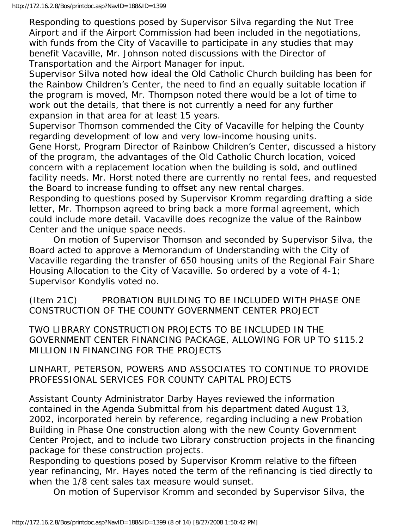Responding to questions posed by Supervisor Silva regarding the Nut Tree Airport and if the Airport Commission had been included in the negotiations, with funds from the City of Vacaville to participate in any studies that may benefit Vacaville, Mr. Johnson noted discussions with the Director of Transportation and the Airport Manager for input.

Supervisor Silva noted how ideal the Old Catholic Church building has been for the Rainbow Children's Center, the need to find an equally suitable location if the program is moved, Mr. Thompson noted there would be a lot of time to work out the details, that there is not currently a need for any further expansion in that area for at least 15 years.

Supervisor Thomson commended the City of Vacaville for helping the County regarding development of low and very low-income housing units.

Gene Horst, Program Director of Rainbow Children's Center, discussed a history of the program, the advantages of the Old Catholic Church location, voiced concern with a replacement location when the building is sold, and outlined facility needs. Mr. Horst noted there are currently no rental fees, and requested the Board to increase funding to offset any new rental charges.

Responding to questions posed by Supervisor Kromm regarding drafting a side letter, Mr. Thompson agreed to bring back a more formal agreement, which could include more detail. Vacaville does recognize the value of the Rainbow Center and the unique space needs.

 On motion of Supervisor Thomson and seconded by Supervisor Silva, the Board acted to approve a Memorandum of Understanding with the City of Vacaville regarding the transfer of 650 housing units of the Regional Fair Share Housing Allocation to the City of Vacaville. So ordered by a vote of 4-1; Supervisor Kondylis voted no.

(Item 21C) PROBATION BUILDING TO BE INCLUDED WITH PHASE ONE CONSTRUCTION OF THE COUNTY GOVERNMENT CENTER PROJECT

TWO LIBRARY CONSTRUCTION PROJECTS TO BE INCLUDED IN THE GOVERNMENT CENTER FINANCING PACKAGE, ALLOWING FOR UP TO \$115.2 MILLION IN FINANCING FOR THE PROJECTS

LINHART, PETERSON, POWERS AND ASSOCIATES TO CONTINUE TO PROVIDE PROFESSIONAL SERVICES FOR COUNTY CAPITAL PROJECTS

Assistant County Administrator Darby Hayes reviewed the information contained in the Agenda Submittal from his department dated August 13, 2002, incorporated herein by reference, regarding including a new Probation Building in Phase One construction along with the new County Government Center Project, and to include two Library construction projects in the financing package for these construction projects.

Responding to questions posed by Supervisor Kromm relative to the fifteen year refinancing, Mr. Hayes noted the term of the refinancing is tied directly to when the 1/8 cent sales tax measure would sunset.

On motion of Supervisor Kromm and seconded by Supervisor Silva, the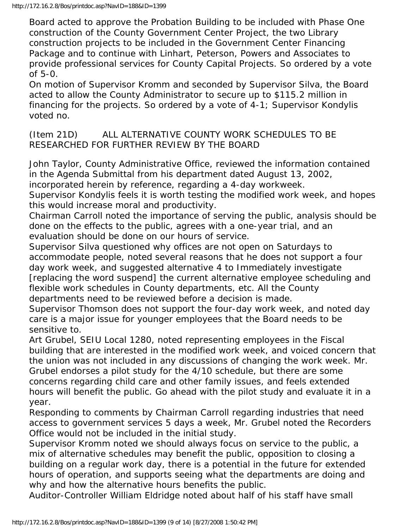Board acted to approve the Probation Building to be included with Phase One construction of the County Government Center Project, the two Library construction projects to be included in the Government Center Financing Package and to continue with Linhart, Peterson, Powers and Associates to provide professional services for County Capital Projects. So ordered by a vote of 5-0.

On motion of Supervisor Kromm and seconded by Supervisor Silva, the Board acted to allow the County Administrator to secure up to \$115.2 million in financing for the projects. So ordered by a vote of 4-1; Supervisor Kondylis voted no.

#### (Item 21D) ALL ALTERNATIVE COUNTY WORK SCHEDULES TO BE RESEARCHED FOR FURTHER REVIEW BY THE BOARD

John Taylor, County Administrative Office, reviewed the information contained in the Agenda Submittal from his department dated August 13, 2002, incorporated herein by reference, regarding a 4-day workweek.

Supervisor Kondylis feels it is worth testing the modified work week, and hopes this would increase moral and productivity.

Chairman Carroll noted the importance of serving the public, analysis should be done on the effects to the public, agrees with a one-year trial, and an evaluation should be done on our hours of service.

Supervisor Silva questioned why offices are not open on Saturdays to accommodate people, noted several reasons that he does not support a four day work week, and suggested alternative 4 to Immediately investigate [replacing the word suspend] the current alternative employee scheduling and flexible work schedules in County departments, etc. All the County departments need to be reviewed before a decision is made.

Supervisor Thomson does not support the four-day work week, and noted day care is a major issue for younger employees that the Board needs to be sensitive to.

Art Grubel, SEIU Local 1280, noted representing employees in the Fiscal building that are interested in the modified work week, and voiced concern that the union was not included in any discussions of changing the work week. Mr. Grubel endorses a pilot study for the 4/10 schedule, but there are some concerns regarding child care and other family issues, and feels extended hours will benefit the public. Go ahead with the pilot study and evaluate it in a year.

Responding to comments by Chairman Carroll regarding industries that need access to government services 5 days a week, Mr. Grubel noted the Recorders Office would not be included in the initial study.

Supervisor Kromm noted we should always focus on service to the public, a mix of alternative schedules may benefit the public, opposition to closing a building on a regular work day, there is a potential in the future for extended hours of operation, and supports seeing what the departments are doing and why and how the alternative hours benefits the public.

Auditor-Controller William Eldridge noted about half of his staff have small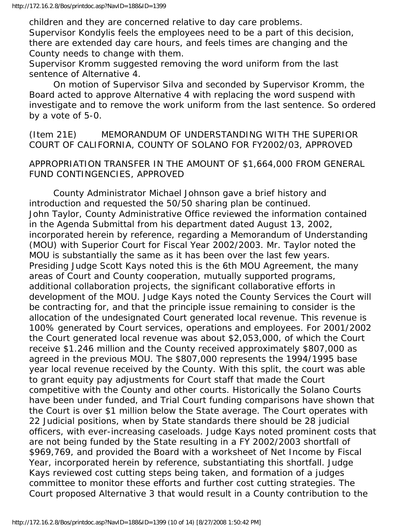children and they are concerned relative to day care problems. Supervisor Kondylis feels the employees need to be a part of this decision, there are extended day care hours, and feels times are changing and the County needs to change with them.

Supervisor Kromm suggested removing the word uniform from the last sentence of Alternative 4.

 On motion of Supervisor Silva and seconded by Supervisor Kromm, the Board acted to approve Alternative 4 with replacing the word suspend with investigate and to remove the work uniform from the last sentence. So ordered by a vote of 5-0.

(Item 21E) MEMORANDUM OF UNDERSTANDING WITH THE SUPERIOR COURT OF CALIFORNIA, COUNTY OF SOLANO FOR FY2002/03, APPROVED

#### APPROPRIATION TRANSFER IN THE AMOUNT OF \$1,664,000 FROM GENERAL FUND CONTINGENCIES, APPROVED

 County Administrator Michael Johnson gave a brief history and introduction and requested the 50/50 sharing plan be continued. John Taylor, County Administrative Office reviewed the information contained in the Agenda Submittal from his department dated August 13, 2002, incorporated herein by reference, regarding a Memorandum of Understanding (MOU) with Superior Court for Fiscal Year 2002/2003. Mr. Taylor noted the MOU is substantially the same as it has been over the last few years. Presiding Judge Scott Kays noted this is the 6th MOU Agreement, the many areas of Court and County cooperation, mutually supported programs, additional collaboration projects, the significant collaborative efforts in development of the MOU. Judge Kays noted the County Services the Court will be contracting for, and that the principle issue remaining to consider is the allocation of the undesignated Court generated local revenue. This revenue is 100% generated by Court services, operations and employees. For 2001/2002 the Court generated local revenue was about \$2,053,000, of which the Court receive \$1.246 million and the County received approximately \$807,000 as agreed in the previous MOU. The \$807,000 represents the 1994/1995 base year local revenue received by the County. With this split, the court was able to grant equity pay adjustments for Court staff that made the Court competitive with the County and other courts. Historically the Solano Courts have been under funded, and Trial Court funding comparisons have shown that the Court is over \$1 million below the State average. The Court operates with 22 Judicial positions, when by State standards there should be 28 judicial officers, with ever-increasing caseloads. Judge Kays noted prominent costs that are not being funded by the State resulting in a FY 2002/2003 shortfall of \$969,769, and provided the Board with a worksheet of Net Income by Fiscal Year, incorporated herein by reference, substantiating this shortfall. Judge Kays reviewed cost cutting steps being taken, and formation of a judges committee to monitor these efforts and further cost cutting strategies. The Court proposed Alternative 3 that would result in a County contribution to the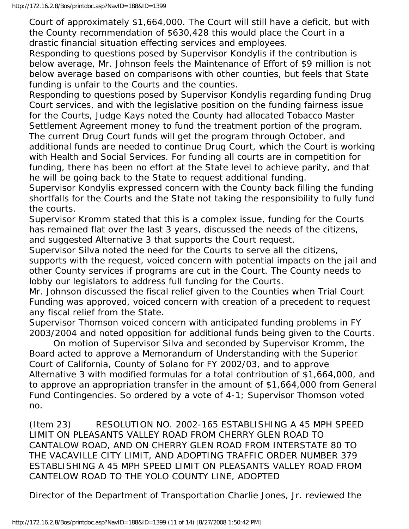Court of approximately \$1,664,000. The Court will still have a deficit, but with the County recommendation of \$630,428 this would place the Court in a drastic financial situation effecting services and employees.

Responding to questions posed by Supervisor Kondylis if the contribution is below average, Mr. Johnson feels the Maintenance of Effort of \$9 million is not below average based on comparisons with other counties, but feels that State funding is unfair to the Courts and the counties.

Responding to questions posed by Supervisor Kondylis regarding funding Drug Court services, and with the legislative position on the funding fairness issue for the Courts, Judge Kays noted the County had allocated Tobacco Master Settlement Agreement money to fund the treatment portion of the program. The current Drug Court funds will get the program through October, and

additional funds are needed to continue Drug Court, which the Court is working with Health and Social Services. For funding all courts are in competition for funding, there has been no effort at the State level to achieve parity, and that he will be going back to the State to request additional funding.

Supervisor Kondylis expressed concern with the County back filling the funding shortfalls for the Courts and the State not taking the responsibility to fully fund the courts.

Supervisor Kromm stated that this is a complex issue, funding for the Courts has remained flat over the last 3 years, discussed the needs of the citizens, and suggested Alternative 3 that supports the Court request.

Supervisor Silva noted the need for the Courts to serve all the citizens, supports with the request, voiced concern with potential impacts on the jail and other County services if programs are cut in the Court. The County needs to lobby our legislators to address full funding for the Courts.

Mr. Johnson discussed the fiscal relief given to the Counties when Trial Court Funding was approved, voiced concern with creation of a precedent to request any fiscal relief from the State.

Supervisor Thomson voiced concern with anticipated funding problems in FY 2003/2004 and noted opposition for additional funds being given to the Courts.

 On motion of Supervisor Silva and seconded by Supervisor Kromm, the Board acted to approve a Memorandum of Understanding with the Superior Court of California, County of Solano for FY 2002/03, and to approve Alternative 3 with modified formulas for a total contribution of \$1,664,000, and to approve an appropriation transfer in the amount of \$1,664,000 from General Fund Contingencies. So ordered by a vote of 4-1; Supervisor Thomson voted no.

(Item 23) RESOLUTION NO. 2002-165 ESTABLISHING A 45 MPH SPEED LIMIT ON PLEASANTS VALLEY ROAD FROM CHERRY GLEN ROAD TO CANTALOW ROAD, AND ON CHERRY GLEN ROAD FROM INTERSTATE 80 TO THE VACAVILLE CITY LIMIT, AND ADOPTING TRAFFIC ORDER NUMBER 379 ESTABLISHING A 45 MPH SPEED LIMIT ON PLEASANTS VALLEY ROAD FROM CANTELOW ROAD TO THE YOLO COUNTY LINE, ADOPTED

Director of the Department of Transportation Charlie Jones, Jr. reviewed the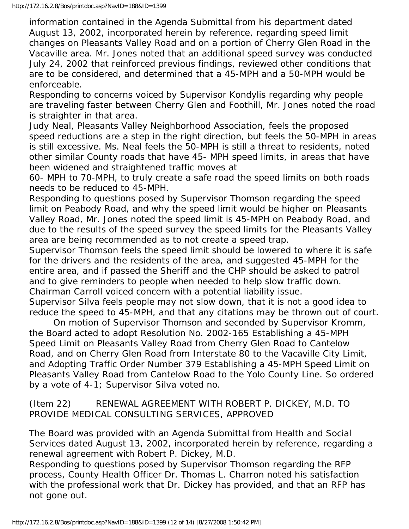information contained in the Agenda Submittal from his department dated August 13, 2002, incorporated herein by reference, regarding speed limit changes on Pleasants Valley Road and on a portion of Cherry Glen Road in the Vacaville area. Mr. Jones noted that an additional speed survey was conducted July 24, 2002 that reinforced previous findings, reviewed other conditions that are to be considered, and determined that a 45-MPH and a 50-MPH would be enforceable.

Responding to concerns voiced by Supervisor Kondylis regarding why people are traveling faster between Cherry Glen and Foothill, Mr. Jones noted the road is straighter in that area.

Judy Neal, Pleasants Valley Neighborhood Association, feels the proposed speed reductions are a step in the right direction, but feels the 50-MPH in areas is still excessive. Ms. Neal feels the 50-MPH is still a threat to residents, noted other similar County roads that have 45- MPH speed limits, in areas that have been widened and straightened traffic moves at

60- MPH to 70-MPH, to truly create a safe road the speed limits on both roads needs to be reduced to 45-MPH.

Responding to questions posed by Supervisor Thomson regarding the speed limit on Peabody Road, and why the speed limit would be higher on Pleasants Valley Road, Mr. Jones noted the speed limit is 45-MPH on Peabody Road, and due to the results of the speed survey the speed limits for the Pleasants Valley area are being recommended as to not create a speed trap.

Supervisor Thomson feels the speed limit should be lowered to where it is safe for the drivers and the residents of the area, and suggested 45-MPH for the entire area, and if passed the Sheriff and the CHP should be asked to patrol and to give reminders to people when needed to help slow traffic down. Chairman Carroll voiced concern with a potential liability issue.

Supervisor Silva feels people may not slow down, that it is not a good idea to reduce the speed to 45-MPH, and that any citations may be thrown out of court.

 On motion of Supervisor Thomson and seconded by Supervisor Kromm, the Board acted to adopt Resolution No. 2002-165 Establishing a 45-MPH Speed Limit on Pleasants Valley Road from Cherry Glen Road to Cantelow Road, and on Cherry Glen Road from Interstate 80 to the Vacaville City Limit, and Adopting Traffic Order Number 379 Establishing a 45-MPH Speed Limit on Pleasants Valley Road from Cantelow Road to the Yolo County Line. So ordered by a vote of 4-1; Supervisor Silva voted no.

(Item 22) RENEWAL AGREEMENT WITH ROBERT P. DICKEY, M.D. TO PROVIDE MEDICAL CONSULTING SERVICES, APPROVED

The Board was provided with an Agenda Submittal from Health and Social Services dated August 13, 2002, incorporated herein by reference, regarding a renewal agreement with Robert P. Dickey, M.D.

Responding to questions posed by Supervisor Thomson regarding the RFP process, County Health Officer Dr. Thomas L. Charron noted his satisfaction with the professional work that Dr. Dickey has provided, and that an RFP has not gone out.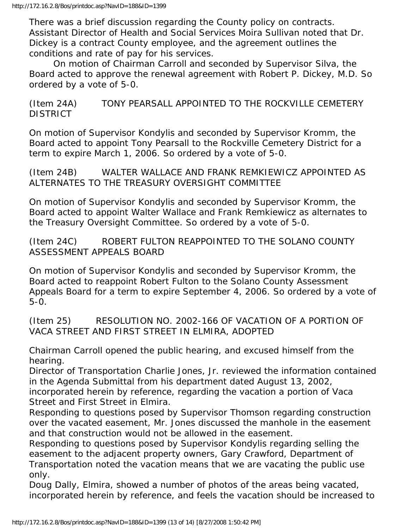There was a brief discussion regarding the County policy on contracts. Assistant Director of Health and Social Services Moira Sullivan noted that Dr. Dickey is a contract County employee, and the agreement outlines the conditions and rate of pay for his services.

 On motion of Chairman Carroll and seconded by Supervisor Silva, the Board acted to approve the renewal agreement with Robert P. Dickey, M.D. So ordered by a vote of 5-0.

(Item 24A) TONY PEARSALL APPOINTED TO THE ROCKVILLE CEMETERY DISTRICT

On motion of Supervisor Kondylis and seconded by Supervisor Kromm, the Board acted to appoint Tony Pearsall to the Rockville Cemetery District for a term to expire March 1, 2006. So ordered by a vote of 5-0.

(Item 24B) WALTER WALLACE AND FRANK REMKIEWICZ APPOINTED AS ALTERNATES TO THE TREASURY OVERSIGHT COMMITTEE

On motion of Supervisor Kondylis and seconded by Supervisor Kromm, the Board acted to appoint Walter Wallace and Frank Remkiewicz as alternates to the Treasury Oversight Committee. So ordered by a vote of 5-0.

(Item 24C) ROBERT FULTON REAPPOINTED TO THE SOLANO COUNTY ASSESSMENT APPEALS BOARD

On motion of Supervisor Kondylis and seconded by Supervisor Kromm, the Board acted to reappoint Robert Fulton to the Solano County Assessment Appeals Board for a term to expire September 4, 2006. So ordered by a vote of 5-0.

(Item 25) RESOLUTION NO. 2002-166 OF VACATION OF A PORTION OF VACA STREET AND FIRST STREET IN ELMIRA, ADOPTED

Chairman Carroll opened the public hearing, and excused himself from the hearing.

Director of Transportation Charlie Jones, Jr. reviewed the information contained in the Agenda Submittal from his department dated August 13, 2002,

incorporated herein by reference, regarding the vacation a portion of Vaca Street and First Street in Elmira.

Responding to questions posed by Supervisor Thomson regarding construction over the vacated easement, Mr. Jones discussed the manhole in the easement and that construction would not be allowed in the easement.

Responding to questions posed by Supervisor Kondylis regarding selling the easement to the adjacent property owners, Gary Crawford, Department of Transportation noted the vacation means that we are vacating the public use only.

Doug Dally, Elmira, showed a number of photos of the areas being vacated, incorporated herein by reference, and feels the vacation should be increased to